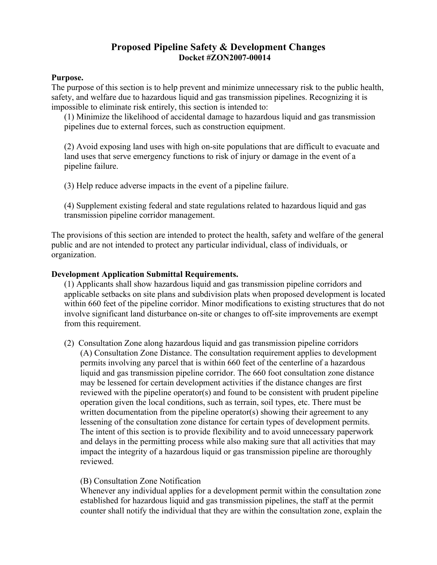# **Proposed Pipeline Safety & Development Changes Docket #ZON2007-00014**

#### **Purpose.**

The purpose of this section is to help prevent and minimize unnecessary risk to the public health, safety, and welfare due to hazardous liquid and gas transmission pipelines. Recognizing it is impossible to eliminate risk entirely, this section is intended to:

(1) Minimize the likelihood of accidental damage to hazardous liquid and gas transmission pipelines due to external forces, such as construction equipment.

(2) Avoid exposing land uses with high on-site populations that are difficult to evacuate and land uses that serve emergency functions to risk of injury or damage in the event of a pipeline failure.

(3) Help reduce adverse impacts in the event of a pipeline failure.

(4) Supplement existing federal and state regulations related to hazardous liquid and gas transmission pipeline corridor management.

The provisions of this section are intended to protect the health, safety and welfare of the general public and are not intended to protect any particular individual, class of individuals, or organization.

#### **Development Application Submittal Requirements.**

(1) Applicants shall show hazardous liquid and gas transmission pipeline corridors and applicable setbacks on site plans and subdivision plats when proposed development is located within 660 feet of the pipeline corridor. Minor modifications to existing structures that do not involve significant land disturbance on-site or changes to off-site improvements are exempt from this requirement.

(2) Consultation Zone along hazardous liquid and gas transmission pipeline corridors (A) Consultation Zone Distance. The consultation requirement applies to development permits involving any parcel that is within 660 feet of the centerline of a hazardous liquid and gas transmission pipeline corridor. The 660 foot consultation zone distance may be lessened for certain development activities if the distance changes are first reviewed with the pipeline operator(s) and found to be consistent with prudent pipeline operation given the local conditions, such as terrain, soil types, etc. There must be written documentation from the pipeline operator(s) showing their agreement to any lessening of the consultation zone distance for certain types of development permits. The intent of this section is to provide flexibility and to avoid unnecessary paperwork and delays in the permitting process while also making sure that all activities that may impact the integrity of a hazardous liquid or gas transmission pipeline are thoroughly reviewed.

## (B) Consultation Zone Notification

Whenever any individual applies for a development permit within the consultation zone established for hazardous liquid and gas transmission pipelines, the staff at the permit counter shall notify the individual that they are within the consultation zone, explain the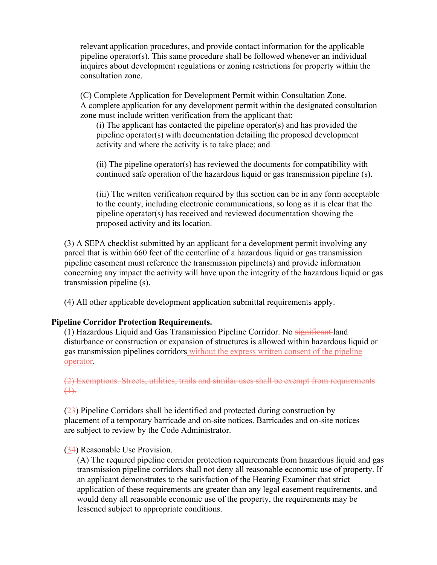relevant application procedures, and provide contact information for the applicable pipeline operator(s). This same procedure shall be followed whenever an individual inquires about development regulations or zoning restrictions for property within the consultation zone.

(C) Complete Application for Development Permit within Consultation Zone. A complete application for any development permit within the designated consultation zone must include written verification from the applicant that:

(i) The applicant has contacted the pipeline operator(s) and has provided the pipeline operator(s) with documentation detailing the proposed development activity and where the activity is to take place; and

(ii) The pipeline operator(s) has reviewed the documents for compatibility with continued safe operation of the hazardous liquid or gas transmission pipeline (s).

(iii) The written verification required by this section can be in any form acceptable to the county, including electronic communications, so long as it is clear that the pipeline operator(s) has received and reviewed documentation showing the proposed activity and its location.

(3) A SEPA checklist submitted by an applicant for a development permit involving any parcel that is within 660 feet of the centerline of a hazardous liquid or gas transmission pipeline easement must reference the transmission pipeline(s) and provide information concerning any impact the activity will have upon the integrity of the hazardous liquid or gas transmission pipeline (s).

(4) All other applicable development application submittal requirements apply.

## **Pipeline Corridor Protection Requirements.**

(1) Hazardous Liquid and Gas Transmission Pipeline Corridor. No significant land disturbance or construction or expansion of structures is allowed within hazardous liquid or gas transmission pipelines corridors without the express written consent of the pipeline operator.

(2) Exemptions. Streets, utilities, trails and similar uses shall be exempt from requirements (1).

(23) Pipeline Corridors shall be identified and protected during construction by placement of a temporary barricade and on-site notices. Barricades and on-site notices are subject to review by the Code Administrator.

#### (34) Reasonable Use Provision.

(A) The required pipeline corridor protection requirements from hazardous liquid and gas transmission pipeline corridors shall not deny all reasonable economic use of property. If an applicant demonstrates to the satisfaction of the Hearing Examiner that strict application of these requirements are greater than any legal easement requirements, and would deny all reasonable economic use of the property, the requirements may be lessened subject to appropriate conditions.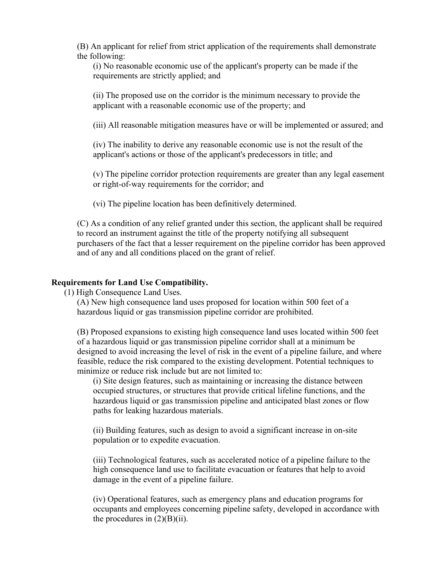(B) An applicant for relief from strict application of the requirements shall demonstrate the following:

(i) No reasonable economic use of the applicant's property can be made if the requirements are strictly applied; and

(ii) The proposed use on the corridor is the minimum necessary to provide the applicant with a reasonable economic use of the property; and

(iii) All reasonable mitigation measures have or will be implemented or assured; and

(iv) The inability to derive any reasonable economic use is not the result of the applicant's actions or those of the applicant's predecessors in title; and

(v) The pipeline corridor protection requirements are greater than any legal easement or right-of-way requirements for the corridor; and

(vi) The pipeline location has been definitively determined.

(C) As a condition of any relief granted under this section, the applicant shall be required to record an instrument against the title of the property notifying all subsequent purchasers of the fact that a lesser requirement on the pipeline corridor has been approved and of any and all conditions placed on the grant of relief.

#### **Requirements for Land Use Compatibility.**

(1) High Consequence Land Uses.

(A) New high consequence land uses proposed for location within 500 feet of a hazardous liquid or gas transmission pipeline corridor are prohibited.

(B) Proposed expansions to existing high consequence land uses located within 500 feet of a hazardous liquid or gas transmission pipeline corridor shall at a minimum be designed to avoid increasing the level of risk in the event of a pipeline failure, and where feasible, reduce the risk compared to the existing development. Potential techniques to minimize or reduce risk include but are not limited to:

(i) Site design features, such as maintaining or increasing the distance between occupied structures, or structures that provide critical lifeline functions, and the hazardous liquid or gas transmission pipeline and anticipated blast zones or flow paths for leaking hazardous materials.

(ii) Building features, such as design to avoid a significant increase in on-site population or to expedite evacuation.

(iii) Technological features, such as accelerated notice of a pipeline failure to the high consequence land use to facilitate evacuation or features that help to avoid damage in the event of a pipeline failure.

(iv) Operational features, such as emergency plans and education programs for occupants and employees concerning pipeline safety, developed in accordance with the procedures in  $(2)(B)(ii)$ .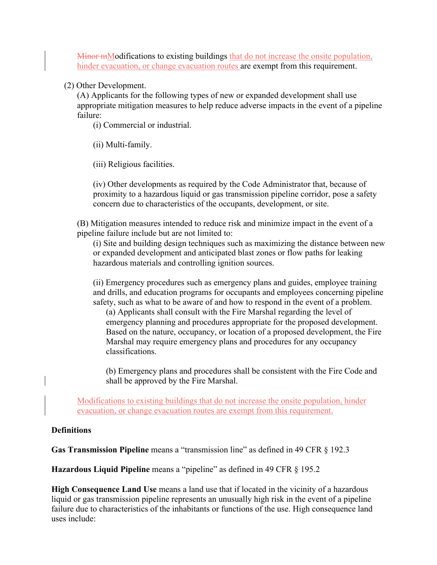Minor mModifications to existing buildings that do not increase the onsite population, hinder evacuation, or change evacuation routes are exempt from this requirement.

(2) Other Development.

(A) Applicants for the following types of new or expanded development shall use appropriate mitigation measures to help reduce adverse impacts in the event of a pipeline failure:

(i) Commercial or industrial.

(ii) Multi-family.

(iii) Religious facilities.

(iv) Other developments as required by the Code Administrator that, because of proximity to a hazardous liquid or gas transmission pipeline corridor, pose a safety concern due to characteristics of the occupants, development, or site.

(B) Mitigation measures intended to reduce risk and minimize impact in the event of a pipeline failure include but are not limited to:

(i) Site and building design techniques such as maximizing the distance between new or expanded development and anticipated blast zones or flow paths for leaking hazardous materials and controlling ignition sources.

(ii) Emergency procedures such as emergency plans and guides, employee training and drills, and education programs for occupants and employees concerning pipeline safety, such as what to be aware of and how to respond in the event of a problem.

(a) Applicants shall consult with the Fire Marshal regarding the level of emergency planning and procedures appropriate for the proposed development. Based on the nature, occupancy, or location of a proposed development, the Fire Marshal may require emergency plans and procedures for any occupancy classifications.

(b) Emergency plans and procedures shall be consistent with the Fire Code and shall be approved by the Fire Marshal.

Modifications to existing buildings that do not increase the onsite population, hinder evacuation, or change evacuation routes are exempt from this requirement.

## **Definitions**

**Gas Transmission Pipeline** means a "transmission line" as defined in 49 CFR § 192.3

**Hazardous Liquid Pipeline** means a "pipeline" as defined in 49 CFR § 195.2

**High Consequence Land Use** means a land use that if located in the vicinity of a hazardous liquid or gas transmission pipeline represents an unusually high risk in the event of a pipeline failure due to characteristics of the inhabitants or functions of the use. High consequence land uses include: